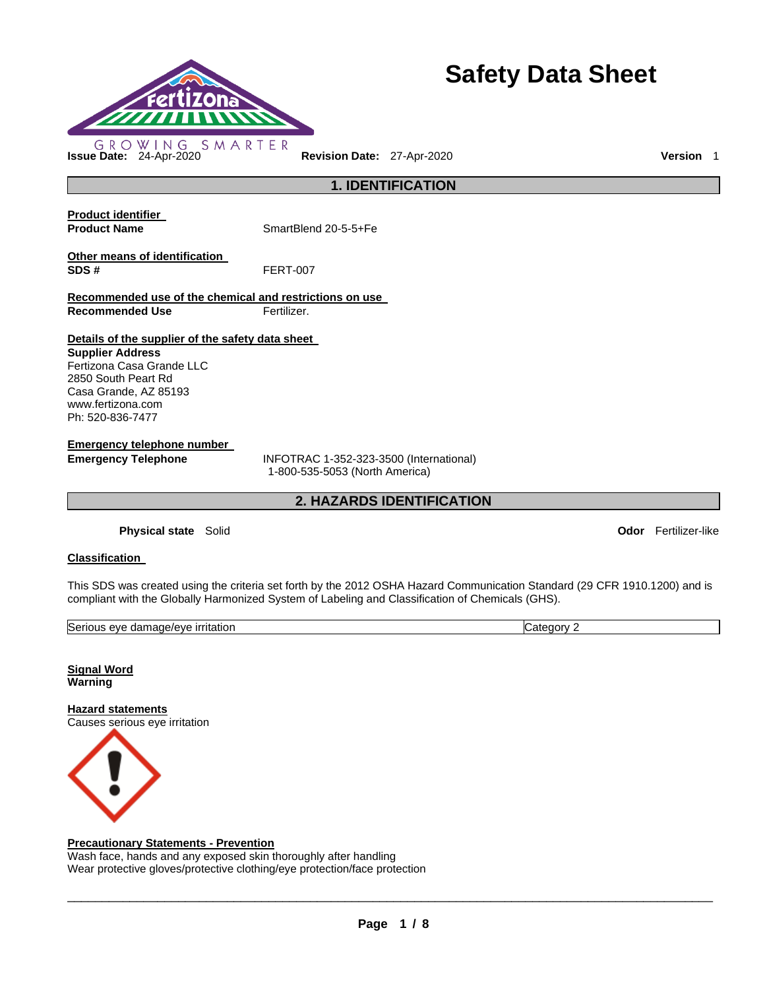

# **Safety Data Sheet**

**1. IDENTIFICATION Product identifier Product Name** SmartBlend 20-5-5+Fe **Other means of identification SDS #** FERT-007 **Recommended use of the chemical and restrictions on use Recommended Use Fertilizer. Details of the supplier of the safety data sheet Supplier Address** Fertizona Casa Grande LLC 2850 South Peart Rd Casa Grande, AZ 85193 www.fertizona.com Ph: 520-836-7477 **Emergency telephone number Emergency Telephone** INFOTRAC 1-352-323-3500 (International) 1-800-535-5053 (North America) **2. HAZARDS IDENTIFICATION** 

**Physical state** Solid **Odor** Fertilizer-like

#### **Classification**

This SDS was created using the criteria set forth by the 2012 OSHA Hazard Communication Standard (29 CFR 1910.1200) and is compliant with the Globally Harmonized System of Labeling and Classification of Chemicals (GHS).

| Seriou<br>mane/eve<br>, irritation<br>eve<br>nar<br><b>Haue/t</b><br>. . | <br>∵atedor∨ ت |
|--------------------------------------------------------------------------|----------------|

**Signal Word Warning** 

**Hazard statements** Causes serious eye irritation



#### **Precautionary Statements - Prevention**

Wash face, hands and any exposed skin thoroughly after handling Wear protective gloves/protective clothing/eye protection/face protection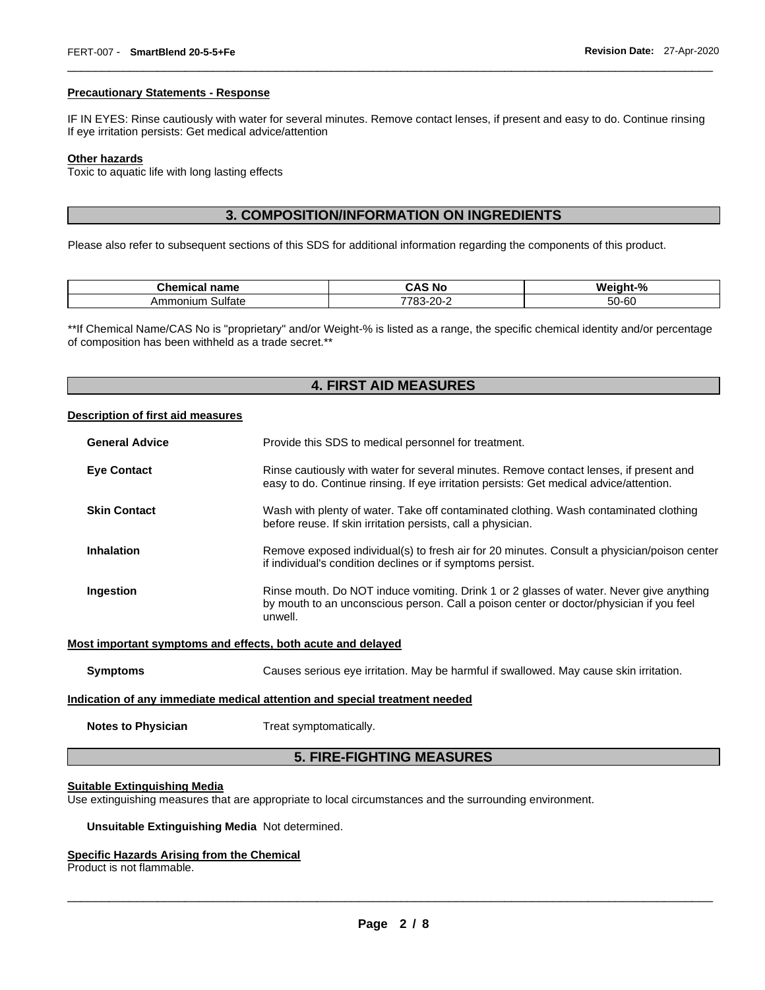#### **Precautionary Statements - Response**

IF IN EYES: Rinse cautiously with water for several minutes. Remove contact lenses, if present and easy to do. Continue rinsing If eye irritation persists: Get medical advice/attention

\_\_\_\_\_\_\_\_\_\_\_\_\_\_\_\_\_\_\_\_\_\_\_\_\_\_\_\_\_\_\_\_\_\_\_\_\_\_\_\_\_\_\_\_\_\_\_\_\_\_\_\_\_\_\_\_\_\_\_\_\_\_\_\_\_\_\_\_\_\_\_\_\_\_\_\_\_\_\_\_\_\_\_\_\_\_\_\_\_\_\_\_\_

#### **Other hazards**

Toxic to aquatic life with long lasting effects

# **3. COMPOSITION/INFORMATION ON INGREDIENTS**

Please also refer to subsequent sections of this SDS for additional information regarding the components of this product.

| <b>ALL-3-1-</b><br>name<br><br><u>ыан</u> | $\mathbf{r}$<br>'NG<br>und                        | Weight-%   |
|-------------------------------------------|---------------------------------------------------|------------|
| Sulfate<br>Ammonium                       | $\overline{\phantom{a}}$<br>3-20-:<br>- 700<br>uu | 50-60<br>. |

\*\*If Chemical Name/CAS No is "proprietary" and/or Weight-% is listed as a range, the specific chemical identity and/or percentage of composition has been withheld as a trade secret.\*\*

# **4. FIRST AID MEASURES**

#### **Description of first aid measures**

| <b>General Advice</b> | Provide this SDS to medical personnel for treatment.                                                                                                                                          |
|-----------------------|-----------------------------------------------------------------------------------------------------------------------------------------------------------------------------------------------|
| <b>Eye Contact</b>    | Rinse cautiously with water for several minutes. Remove contact lenses, if present and<br>easy to do. Continue rinsing. If eye irritation persists: Get medical advice/attention.             |
| <b>Skin Contact</b>   | Wash with plenty of water. Take off contaminated clothing. Wash contaminated clothing<br>before reuse. If skin irritation persists, call a physician.                                         |
| <b>Inhalation</b>     | Remove exposed individual(s) to fresh air for 20 minutes. Consult a physician/poison center<br>if individual's condition declines or if symptoms persist.                                     |
| Ingestion             | Rinse mouth. Do NOT induce vomiting. Drink 1 or 2 glasses of water. Never give anything<br>by mouth to an unconscious person. Call a poison center or doctor/physician if you feel<br>unwell. |
|                       | Most important symptoms and effects, both acute and delayed                                                                                                                                   |
| <b>Symptoms</b>       | Causes serious eye irritation. May be harmful if swallowed. May cause skin irritation.                                                                                                        |

#### **Indication of any immediate medical attention and special treatment needed**

**Notes to Physician**  Treat symptomatically.

## **5. FIRE-FIGHTING MEASURES**

#### **Suitable Extinguishing Media**

Use extinguishing measures that are appropriate to local circumstances and the surrounding environment.

#### **Unsuitable Extinguishing Media** Not determined.

#### **Specific Hazards Arising from the Chemical**

Product is not flammable.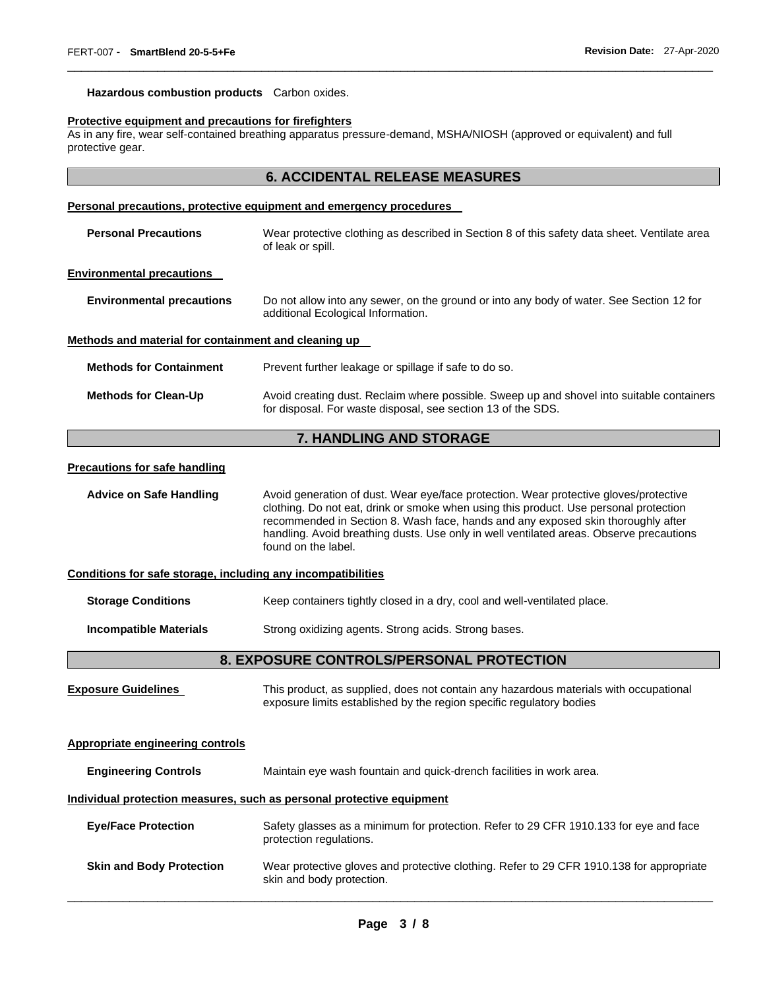# **Hazardous combustion products** Carbon oxides.

#### **Protective equipment and precautions for firefighters**

As in any fire, wear self-contained breathing apparatus pressure-demand, MSHA/NIOSH (approved or equivalent) and full protective gear.

#### **6. ACCIDENTAL RELEASE MEASURES**

\_\_\_\_\_\_\_\_\_\_\_\_\_\_\_\_\_\_\_\_\_\_\_\_\_\_\_\_\_\_\_\_\_\_\_\_\_\_\_\_\_\_\_\_\_\_\_\_\_\_\_\_\_\_\_\_\_\_\_\_\_\_\_\_\_\_\_\_\_\_\_\_\_\_\_\_\_\_\_\_\_\_\_\_\_\_\_\_\_\_\_\_\_

# **Personal precautions, protective equipment and emergency procedures**

| <b>Personal Precautions</b>                                  | Wear protective clothing as described in Section 8 of this safety data sheet. Ventilate area<br>of leak or spill.                                                                                                                                                                                                                                                                    |
|--------------------------------------------------------------|--------------------------------------------------------------------------------------------------------------------------------------------------------------------------------------------------------------------------------------------------------------------------------------------------------------------------------------------------------------------------------------|
| <b>Environmental precautions</b>                             |                                                                                                                                                                                                                                                                                                                                                                                      |
| <b>Environmental precautions</b>                             | Do not allow into any sewer, on the ground or into any body of water. See Section 12 for<br>additional Ecological Information.                                                                                                                                                                                                                                                       |
| Methods and material for containment and cleaning up         |                                                                                                                                                                                                                                                                                                                                                                                      |
| <b>Methods for Containment</b>                               | Prevent further leakage or spillage if safe to do so.                                                                                                                                                                                                                                                                                                                                |
| <b>Methods for Clean-Up</b>                                  | Avoid creating dust. Reclaim where possible. Sweep up and shovel into suitable containers<br>for disposal. For waste disposal, see section 13 of the SDS.                                                                                                                                                                                                                            |
|                                                              | 7. HANDLING AND STORAGE                                                                                                                                                                                                                                                                                                                                                              |
| <b>Precautions for safe handling</b>                         |                                                                                                                                                                                                                                                                                                                                                                                      |
| <b>Advice on Safe Handling</b>                               | Avoid generation of dust. Wear eye/face protection. Wear protective gloves/protective<br>clothing. Do not eat, drink or smoke when using this product. Use personal protection<br>recommended in Section 8. Wash face, hands and any exposed skin thoroughly after<br>handling. Avoid breathing dusts. Use only in well ventilated areas. Observe precautions<br>found on the label. |
| Conditions for safe storage, including any incompatibilities |                                                                                                                                                                                                                                                                                                                                                                                      |
| <b>Storage Conditions</b>                                    | Keep containers tightly closed in a dry, cool and well-ventilated place.                                                                                                                                                                                                                                                                                                             |
| <b>Incompatible Materials</b>                                | Strong oxidizing agents. Strong acids. Strong bases.                                                                                                                                                                                                                                                                                                                                 |
|                                                              | 8. EXPOSURE CONTROLS/PERSONAL PROTECTION                                                                                                                                                                                                                                                                                                                                             |
| <b>Exposure Guidelines</b>                                   | This product, as supplied, does not contain any hazardous materials with occupational<br>exposure limits established by the region specific regulatory bodies                                                                                                                                                                                                                        |
| <b>Appropriate engineering controls</b>                      |                                                                                                                                                                                                                                                                                                                                                                                      |
| <b>Engineering Controls</b>                                  | Maintain eye wash fountain and quick-drench facilities in work area.                                                                                                                                                                                                                                                                                                                 |

# **Individual protection measures, such as personal protective equipment**

| <b>Eve/Face Protection</b>      | Safety glasses as a minimum for protection. Refer to 29 CFR 1910.133 for eye and face<br>protection regulations.      |
|---------------------------------|-----------------------------------------------------------------------------------------------------------------------|
| <b>Skin and Body Protection</b> | Wear protective gloves and protective clothing. Refer to 29 CFR 1910.138 for appropriate<br>skin and body protection. |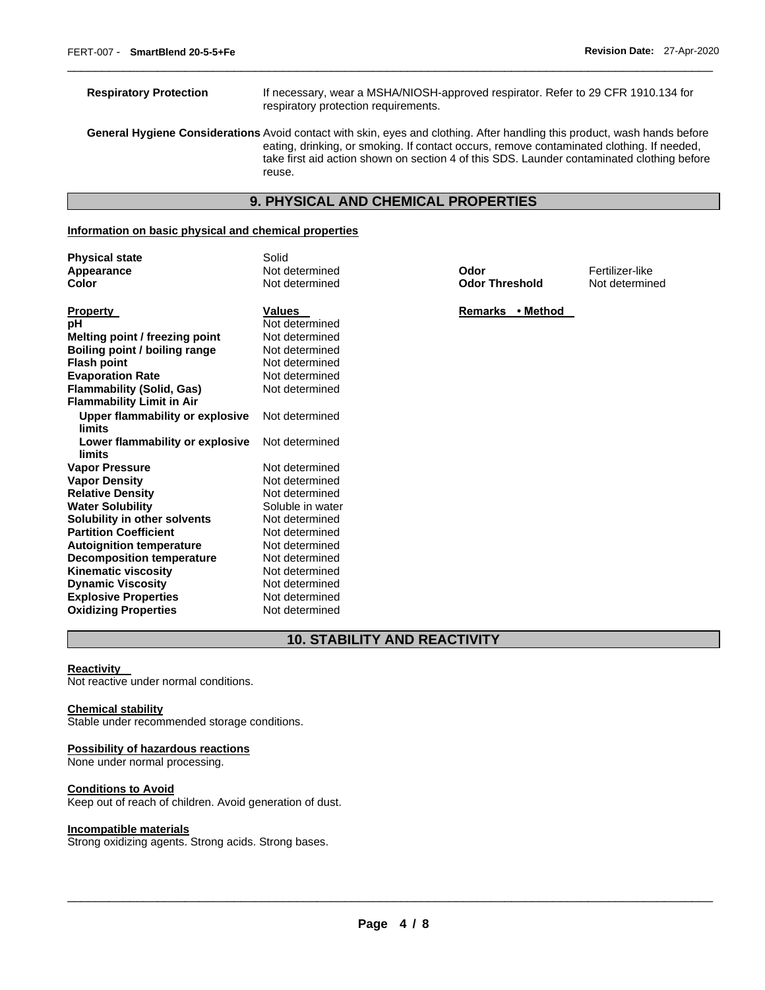**Respiratory Protection** If necessary, wear a MSHA/NIOSH-approved respirator. Refer to 29 CFR 1910.134 for respiratory protection requirements. **General Hygiene Considerations** Avoid contact with skin, eyes and clothing. After handling this product, wash hands before eating, drinking, or smoking. If contact occurs, remove contaminated clothing. If needed, take first aid action shown on section 4 of this SDS. Launder contaminated clothing before reuse.

\_\_\_\_\_\_\_\_\_\_\_\_\_\_\_\_\_\_\_\_\_\_\_\_\_\_\_\_\_\_\_\_\_\_\_\_\_\_\_\_\_\_\_\_\_\_\_\_\_\_\_\_\_\_\_\_\_\_\_\_\_\_\_\_\_\_\_\_\_\_\_\_\_\_\_\_\_\_\_\_\_\_\_\_\_\_\_\_\_\_\_\_\_

# **9. PHYSICAL AND CHEMICAL PROPERTIES**

#### **Information on basic physical and chemical properties**

| Solid<br>Not determined | Odor                  | Fertilizer-like |
|-------------------------|-----------------------|-----------------|
| Not determined          | <b>Odor Threshold</b> | Not determine   |
| <b>Values</b>           | • Method<br>Remarks   |                 |
| Not determined          |                       |                 |
| Not determined          |                       |                 |
| Not determined          |                       |                 |
| Not determined          |                       |                 |
| Not determined          |                       |                 |
| Not determined          |                       |                 |
|                         |                       |                 |
| Not determined          |                       |                 |
| Not determined          |                       |                 |
| Not determined          |                       |                 |
| Not determined          |                       |                 |
| Not determined          |                       |                 |
| Soluble in water        |                       |                 |
| Not determined          |                       |                 |
| Not determined          |                       |                 |
| Not determined          |                       |                 |
| Not determined          |                       |                 |
| Not determined          |                       |                 |
| Not determined          |                       |                 |
| Not determined          |                       |                 |
| Not determined          |                       |                 |
|                         |                       |                 |

**Odor Threshold** Not determined

# **10. STABILITY AND REACTIVITY**

#### **Reactivity**

Not reactive under normal conditions.

#### **Chemical stability**

Stable under recommended storage conditions.

#### **Possibility of hazardous reactions**

None under normal processing.

#### **Conditions to Avoid**

Keep out of reach of children. Avoid generation of dust.

#### **Incompatible materials**

Strong oxidizing agents. Strong acids. Strong bases.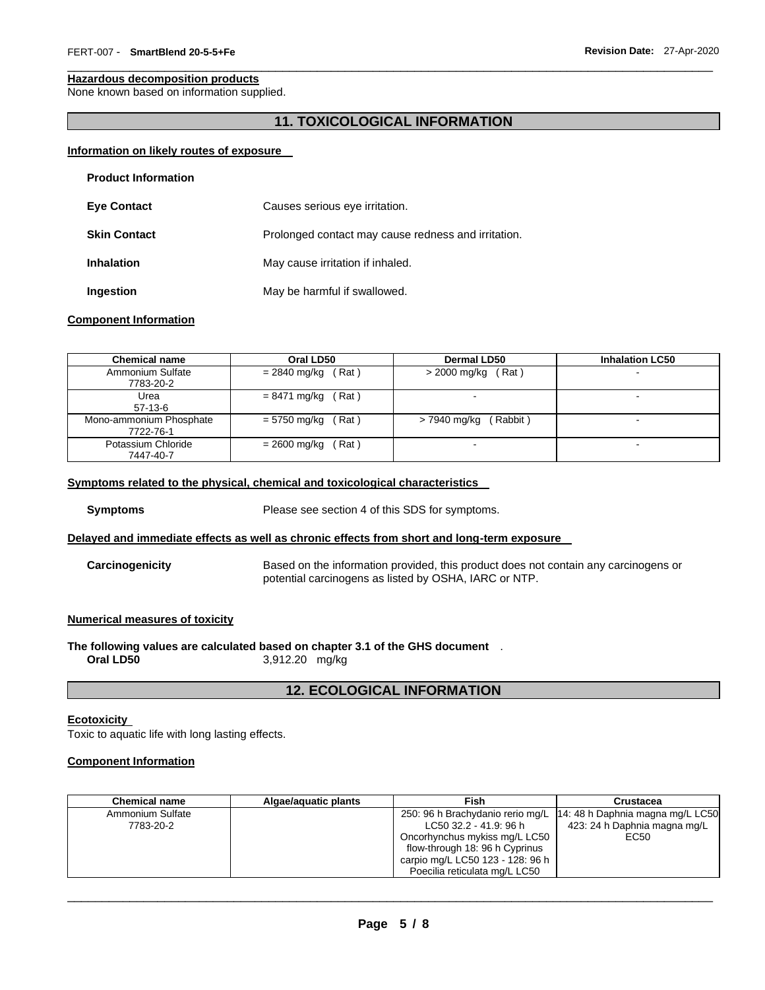#### **Hazardous decomposition products**

None known based on information supplied.

# **11. TOXICOLOGICAL INFORMATION**

\_\_\_\_\_\_\_\_\_\_\_\_\_\_\_\_\_\_\_\_\_\_\_\_\_\_\_\_\_\_\_\_\_\_\_\_\_\_\_\_\_\_\_\_\_\_\_\_\_\_\_\_\_\_\_\_\_\_\_\_\_\_\_\_\_\_\_\_\_\_\_\_\_\_\_\_\_\_\_\_\_\_\_\_\_\_\_\_\_\_\_\_\_

#### **Information on likely routes of exposure**

| <b>Product Information</b> |                                                     |
|----------------------------|-----------------------------------------------------|
| <b>Eye Contact</b>         | Causes serious eye irritation.                      |
| <b>Skin Contact</b>        | Prolonged contact may cause redness and irritation. |
| <b>Inhalation</b>          | May cause irritation if inhaled.                    |
| Ingestion                  | May be harmful if swallowed.                        |

#### **Component Information**

| <b>Chemical name</b>                 | Oral LD50            | <b>Dermal LD50</b>      | <b>Inhalation LC50</b>   |
|--------------------------------------|----------------------|-------------------------|--------------------------|
| Ammonium Sulfate<br>7783-20-2        | $= 2840$ mg/kg (Rat) | $>$ 2000 mg/kg (Rat)    | $\sim$                   |
| Urea<br>$57-13-6$                    | $= 8471$ mg/kg (Rat) |                         | $\overline{\phantom{0}}$ |
| Mono-ammonium Phosphate<br>7722-76-1 | $= 5750$ mg/kg (Rat) | $> 7940$ mg/kg (Rabbit) | $\blacksquare$           |
| Potassium Chloride<br>7447-40-7      | $= 2600$ mg/kg (Rat) |                         | $\overline{\phantom{0}}$ |

#### **Symptoms related to the physical, chemical and toxicological characteristics**

**Symptoms** Please see section 4 of this SDS for symptoms.

#### **Delayed and immediate effects as well as chronic effects from short and long-term exposure**

**Carcinogenicity** Based on the information provided, this product does not contain any carcinogens or potential carcinogens as listed by OSHA, IARC or NTP.

#### **Numerical measures of toxicity**

**The following values are calculated based on chapter 3.1 of the GHS document** . **Oral LD50** 3,912.20 mg/kg

#### **12. ECOLOGICAL INFORMATION**

#### **Ecotoxicity**

Toxic to aquatic life with long lasting effects.

#### **Component Information**

| <b>Chemical name</b> | Algae/aguatic plants | Fish                             | Crustacea                                                           |
|----------------------|----------------------|----------------------------------|---------------------------------------------------------------------|
| Ammonium Sulfate     |                      |                                  | 250: 96 h Brachydanio rerio mg/L   14: 48 h Daphnia magna mg/L LC50 |
| 7783-20-2            |                      | LC50 32.2 - 41.9: 96 h           | 423: 24 h Daphnia magna mg/L                                        |
|                      |                      | Oncorhynchus mykiss mg/L LC50    | EC50                                                                |
|                      |                      | flow-through 18: 96 h Cyprinus   |                                                                     |
|                      |                      | carpio mg/L LC50 123 - 128: 96 h |                                                                     |
|                      |                      | Poecilia reticulata mg/L LC50    |                                                                     |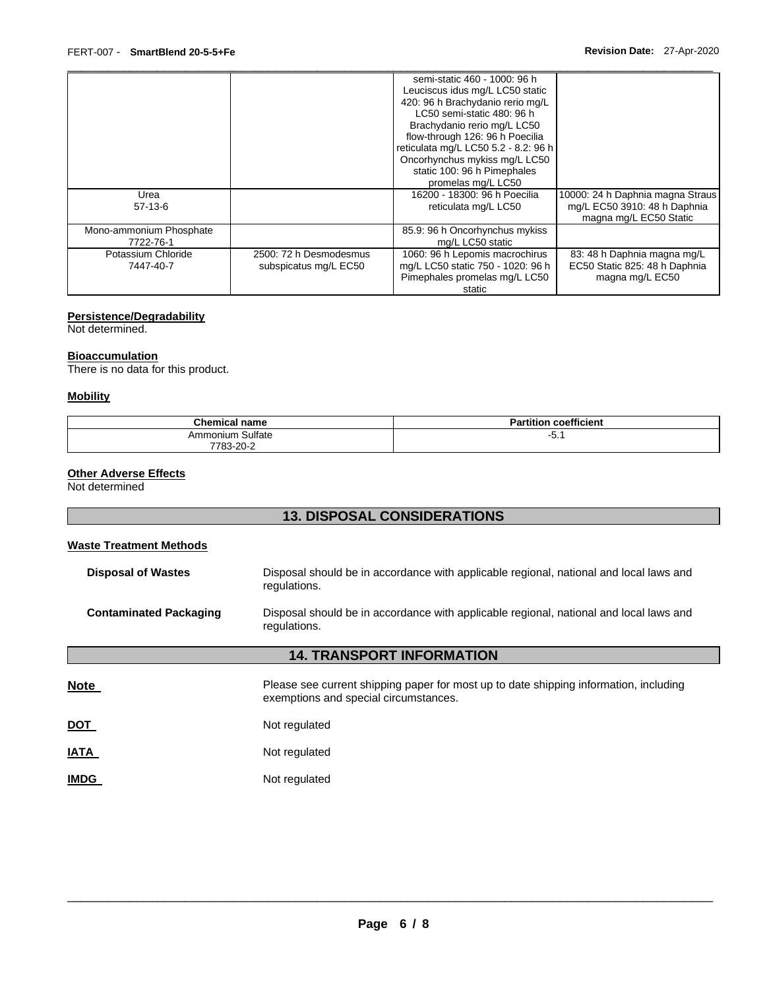|                         |                        | semi-static 460 - 1000: 96 h         |                                  |
|-------------------------|------------------------|--------------------------------------|----------------------------------|
|                         |                        | Leuciscus idus mg/L LC50 static      |                                  |
|                         |                        | 420: 96 h Brachydanio rerio mg/L     |                                  |
|                         |                        | LC50 semi-static 480: 96 h           |                                  |
|                         |                        | Brachydanio rerio mg/L LC50          |                                  |
|                         |                        | flow-through 126: 96 h Poecilia      |                                  |
|                         |                        | reticulata mg/L LC50 5.2 - 8.2: 96 h |                                  |
|                         |                        | Oncorhynchus mykiss mg/L LC50        |                                  |
|                         |                        | static 100: 96 h Pimephales          |                                  |
|                         |                        | promelas mg/L LC50                   |                                  |
| Urea                    |                        | 16200 - 18300: 96 h Poecilia         | 10000: 24 h Daphnia magna Straus |
| $57-13-6$               |                        | reticulata mg/L LC50                 | mg/L EC50 3910: 48 h Daphnia     |
|                         |                        |                                      | magna mg/L EC50 Static           |
| Mono-ammonium Phosphate |                        | 85.9: 96 h Oncorhynchus mykiss       |                                  |
| 7722-76-1               |                        | mg/L LC50 static                     |                                  |
| Potassium Chloride      | 2500: 72 h Desmodesmus | 1060: 96 h Lepomis macrochirus       | 83: 48 h Daphnia magna mg/L      |
| 7447-40-7               | subspicatus mg/L EC50  | mg/L LC50 static 750 - 1020: 96 h    | EC50 Static 825: 48 h Daphnia    |
|                         |                        | Pimephales promelas mg/L LC50        | magna mg/L EC50                  |
|                         |                        | static                               |                                  |

# **Persistence/Degradability**

Not determined.

#### **Bioaccumulation**

There is no data for this product.

#### **Mobility**

| <b>Chemical name</b> | $-0.01$<br>.<br><b>Partition coefficient</b> |
|----------------------|----------------------------------------------|
| Ammonium Sulfate     | י. -                                         |
| 7783-20-2            |                                              |

#### **Other Adverse Effects**

Not determined

# **13. DISPOSAL CONSIDERATIONS**

# **Waste Treatment Methods**

| <b>Disposal of Wastes</b>     | Disposal should be in accordance with applicable regional, national and local laws and<br>regulations. |
|-------------------------------|--------------------------------------------------------------------------------------------------------|
| <b>Contaminated Packaging</b> | Disposal should be in accordance with applicable regional, national and local laws and<br>regulations. |

# **14. TRANSPORT INFORMATION**

| <b>Note</b> | Please see current shipping paper for most up to date shipping information, including<br>exemptions and special circumstances. |
|-------------|--------------------------------------------------------------------------------------------------------------------------------|
| <u>DOT</u>  | Not regulated                                                                                                                  |
| <b>IATA</b> | Not regulated                                                                                                                  |
| <b>IMDG</b> | Not regulated                                                                                                                  |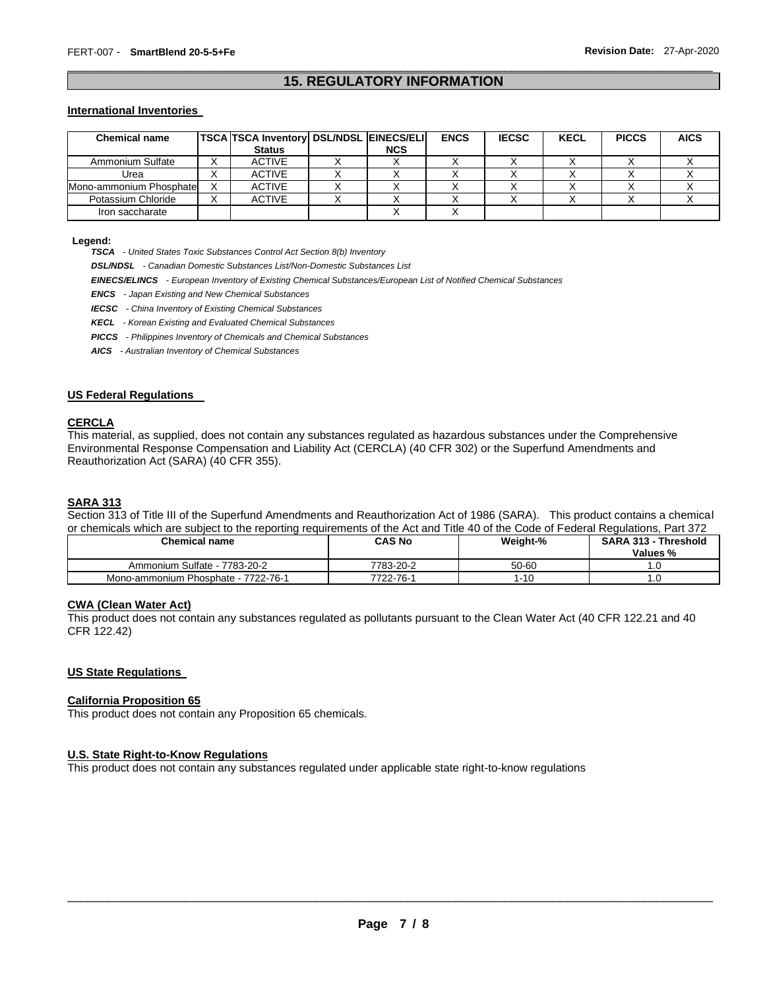#### \_\_\_\_\_\_\_\_\_\_\_\_\_\_\_\_\_\_\_\_\_\_\_\_\_\_\_\_\_\_\_\_\_\_\_\_\_\_\_\_\_\_\_\_\_\_\_\_\_\_\_\_\_\_\_\_\_\_\_\_\_\_\_\_\_\_\_\_\_\_\_\_\_\_\_\_\_\_\_\_\_\_\_\_\_\_\_\_\_\_\_\_\_ **15. REGULATORY INFORMATION**

#### **International Inventories**

| <b>Chemical name</b>    | TSCA TSCA Inventory   DSL/NDSL   EINECS/ELI |            | <b>ENCS</b> | <b>IECSC</b> | <b>KECL</b> | <b>PICCS</b> | <b>AICS</b> |
|-------------------------|---------------------------------------------|------------|-------------|--------------|-------------|--------------|-------------|
|                         | <b>Status</b>                               | <b>NCS</b> |             |              |             |              |             |
| Ammonium Sulfate        | <b>ACTIVE</b>                               |            |             |              |             |              |             |
| Urea                    | <b>ACTIVE</b>                               |            |             |              |             |              |             |
| Mono-ammonium Phosphate | <b>ACTIVE</b>                               |            |             |              |             |              |             |
| Potassium Chloride      | <b>ACTIVE</b>                               |            |             |              |             |              |             |
| Iron saccharate         |                                             |            |             |              |             |              |             |

#### **Legend:**

*TSCA - United States Toxic Substances Control Act Section 8(b) Inventory* 

*DSL/NDSL - Canadian Domestic Substances List/Non-Domestic Substances List* 

*EINECS/ELINCS - European Inventory of Existing Chemical Substances/European List of Notified Chemical Substances* 

*ENCS - Japan Existing and New Chemical Substances* 

*IECSC - China Inventory of Existing Chemical Substances* 

*KECL - Korean Existing and Evaluated Chemical Substances* 

*PICCS - Philippines Inventory of Chemicals and Chemical Substances* 

*AICS - Australian Inventory of Chemical Substances* 

#### **US Federal Regulations**

#### **CERCLA**

This material, as supplied, does not contain any substances regulated as hazardous substances under the Comprehensive Environmental Response Compensation and Liability Act (CERCLA) (40 CFR 302) or the Superfund Amendments and Reauthorization Act (SARA) (40 CFR 355).

### **SARA 313**

Section 313 of Title III of the Superfund Amendments and Reauthorization Act of 1986 (SARA). This product contains a chemical or chemicals which are subject to the reporting requirements of the Act and Title 40 of the Code of Federal Regulations, Part 372

| <b>Chemical name</b>                | <b>CAS No</b> | Weight-% | <b>SARA 313 - Threshold</b><br>Values % |
|-------------------------------------|---------------|----------|-----------------------------------------|
| Ammonium Sulfate - 7783-20-2        | 7783-20-2     | 50-60    |                                         |
| Mono-ammonium Phosphate - 7722-76-1 | 7722-76-1     | 1-10     |                                         |

#### **CWA (Clean Water Act)**

This product does not contain any substances regulated as pollutants pursuant to the Clean Water Act (40 CFR 122.21 and 40 CFR 122.42)

#### **US State Regulations**

#### **California Proposition 65**

This product does not contain any Proposition 65 chemicals.

#### **U.S. State Right-to-Know Regulations**

This product does not contain any substances regulated under applicable state right-to-know regulations